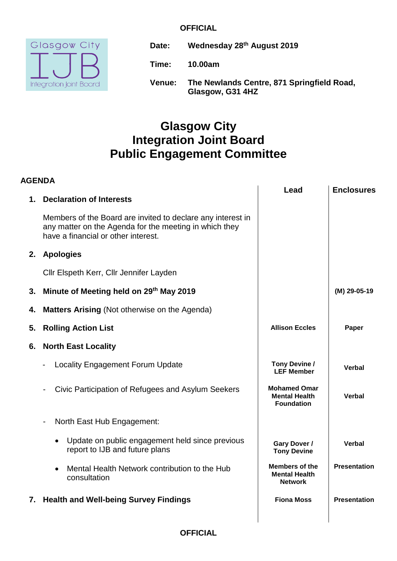#### **OFFICIAL**



**Date: Wednesday 28 th August 2019 Time: 10.00am Venue: The Newlands Centre, 871 Springfield Road, Glasgow, G31 4HZ**

# **Glasgow City Integration Joint Board Public Engagement Committee**

| <b>AGENDA</b> |                                                                                                                                                              |                                                                  |                     |
|---------------|--------------------------------------------------------------------------------------------------------------------------------------------------------------|------------------------------------------------------------------|---------------------|
| 1.            | <b>Declaration of Interests</b>                                                                                                                              | Lead                                                             | <b>Enclosures</b>   |
|               | Members of the Board are invited to declare any interest in<br>any matter on the Agenda for the meeting in which they<br>have a financial or other interest. |                                                                  |                     |
| 2.            | <b>Apologies</b>                                                                                                                                             |                                                                  |                     |
|               | Cllr Elspeth Kerr, Cllr Jennifer Layden                                                                                                                      |                                                                  |                     |
| 3.            | Minute of Meeting held on 29th May 2019                                                                                                                      |                                                                  | $(M)$ 29-05-19      |
| 4.            | <b>Matters Arising (Not otherwise on the Agenda)</b>                                                                                                         |                                                                  |                     |
| 5.            | <b>Rolling Action List</b>                                                                                                                                   | <b>Allison Eccles</b>                                            | Paper               |
| 6.            | <b>North East Locality</b>                                                                                                                                   |                                                                  |                     |
|               | <b>Locality Engagement Forum Update</b>                                                                                                                      | Tony Devine /<br><b>LEF Member</b>                               | Verbal              |
|               | Civic Participation of Refugees and Asylum Seekers                                                                                                           | <b>Mohamed Omar</b><br><b>Mental Health</b><br><b>Foundation</b> | Verbal              |
|               | North East Hub Engagement:                                                                                                                                   |                                                                  |                     |
|               | Update on public engagement held since previous<br>$\bullet$<br>report to IJB and future plans                                                               | Gary Dover /<br><b>Tony Devine</b>                               | <b>Verbal</b>       |
|               | Mental Health Network contribution to the Hub<br>$\bullet$<br>consultation                                                                                   | <b>Members of the</b><br><b>Mental Health</b><br><b>Network</b>  | <b>Presentation</b> |
|               | 7. Health and Well-being Survey Findings                                                                                                                     | <b>Fiona Moss</b>                                                | <b>Presentation</b> |

## **OFFICIAL**